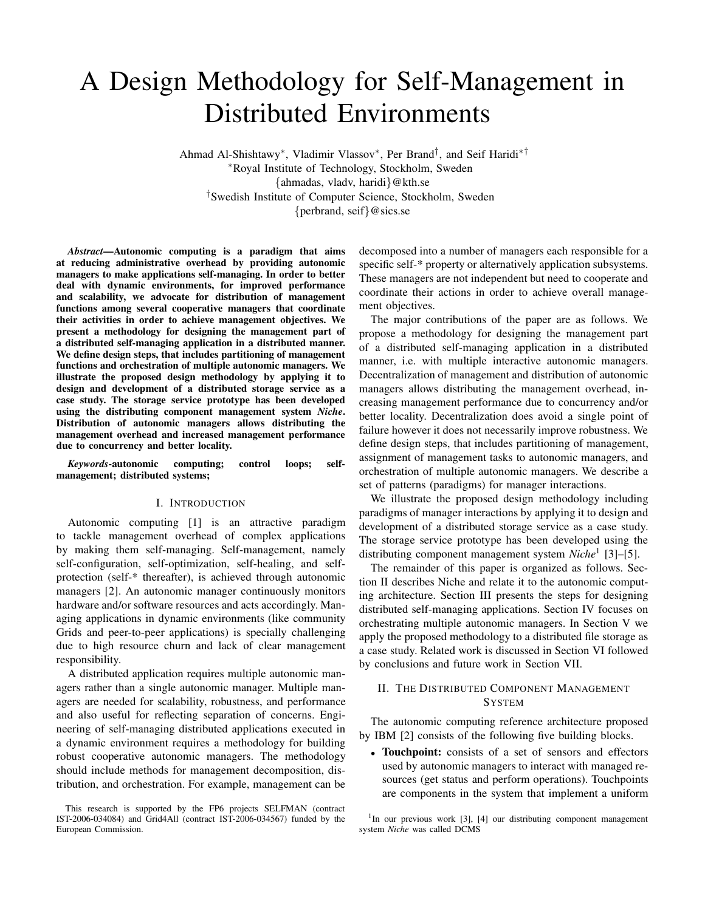# A Design Methodology for Self-Management in Distributed Environments

Ahmad Al-Shishtawy<sup>∗</sup> , Vladimir Vlassov<sup>∗</sup> , Per Brand† , and Seif Haridi∗† <sup>∗</sup>Royal Institute of Technology, Stockholm, Sweden {ahmadas, vladv, haridi}@kth.se †Swedish Institute of Computer Science, Stockholm, Sweden {perbrand, seif}@sics.se

*Abstract***—Autonomic computing is a paradigm that aims at reducing administrative overhead by providing autonomic managers to make applications self-managing. In order to better deal with dynamic environments, for improved performance and scalability, we advocate for distribution of management functions among several cooperative managers that coordinate their activities in order to achieve management objectives. We present a methodology for designing the management part of a distributed self-managing application in a distributed manner. We define design steps, that includes partitioning of management functions and orchestration of multiple autonomic managers. We illustrate the proposed design methodology by applying it to design and development of a distributed storage service as a case study. The storage service prototype has been developed using the distributing component management system** *Niche***. Distribution of autonomic managers allows distributing the management overhead and increased management performance due to concurrency and better locality.**

*Keywords***-autonomic computing; control loops; selfmanagement; distributed systems;**

#### I. INTRODUCTION

Autonomic computing [1] is an attractive paradigm to tackle management overhead of complex applications by making them self-managing. Self-management, namely self-configuration, self-optimization, self-healing, and selfprotection (self-\* thereafter), is achieved through autonomic managers [2]. An autonomic manager continuously monitors hardware and/or software resources and acts accordingly. Managing applications in dynamic environments (like community Grids and peer-to-peer applications) is specially challenging due to high resource churn and lack of clear management responsibility.

A distributed application requires multiple autonomic managers rather than a single autonomic manager. Multiple managers are needed for scalability, robustness, and performance and also useful for reflecting separation of concerns. Engineering of self-managing distributed applications executed in a dynamic environment requires a methodology for building robust cooperative autonomic managers. The methodology should include methods for management decomposition, distribution, and orchestration. For example, management can be

decomposed into a number of managers each responsible for a specific self-\* property or alternatively application subsystems. These managers are not independent but need to cooperate and coordinate their actions in order to achieve overall management objectives.

The major contributions of the paper are as follows. We propose a methodology for designing the management part of a distributed self-managing application in a distributed manner, i.e. with multiple interactive autonomic managers. Decentralization of management and distribution of autonomic managers allows distributing the management overhead, increasing management performance due to concurrency and/or better locality. Decentralization does avoid a single point of failure however it does not necessarily improve robustness. We define design steps, that includes partitioning of management, assignment of management tasks to autonomic managers, and orchestration of multiple autonomic managers. We describe a set of patterns (paradigms) for manager interactions.

We illustrate the proposed design methodology including paradigms of manager interactions by applying it to design and development of a distributed storage service as a case study. The storage service prototype has been developed using the distributing component management system *Niche*<sup>1</sup> [3]–[5].

The remainder of this paper is organized as follows. Section II describes Niche and relate it to the autonomic computing architecture. Section III presents the steps for designing distributed self-managing applications. Section IV focuses on orchestrating multiple autonomic managers. In Section V we apply the proposed methodology to a distributed file storage as a case study. Related work is discussed in Section VI followed by conclusions and future work in Section VII.

# II. THE DISTRIBUTED COMPONENT MANAGEMENT **SYSTEM**

The autonomic computing reference architecture proposed by IBM [2] consists of the following five building blocks.

• **Touchpoint:** consists of a set of sensors and effectors used by autonomic managers to interact with managed resources (get status and perform operations). Touchpoints are components in the system that implement a uniform

This research is supported by the FP6 projects SELFMAN (contract IST-2006-034084) and Grid4All (contract IST-2006-034567) funded by the European Commission.

<sup>&</sup>lt;sup>1</sup>In our previous work [3], [4] our distributing component management system *Niche* was called DCMS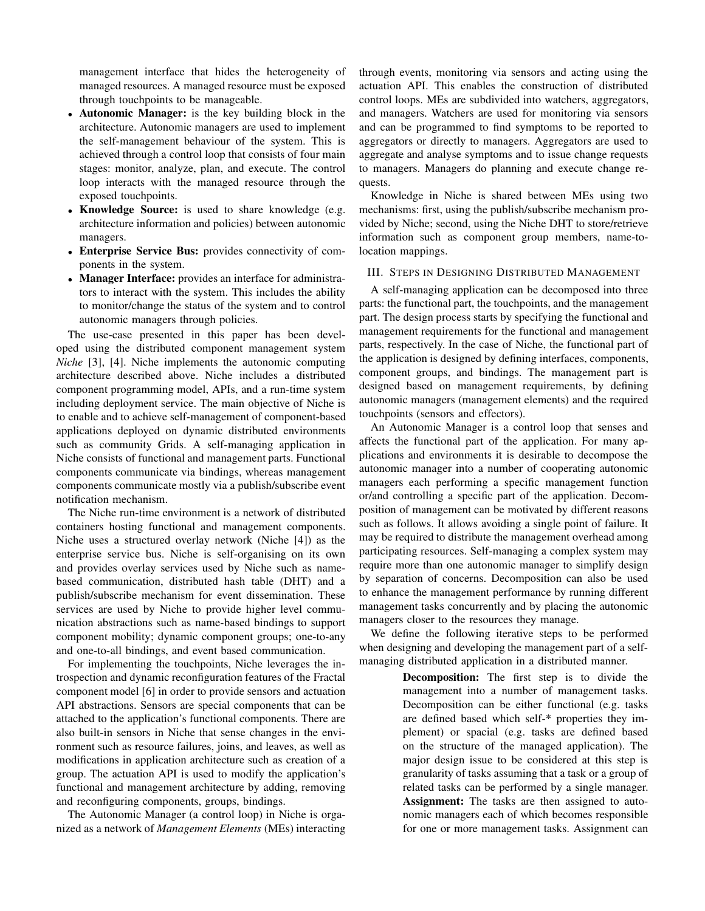management interface that hides the heterogeneity of managed resources. A managed resource must be exposed through touchpoints to be manageable.

- **Autonomic Manager:** is the key building block in the architecture. Autonomic managers are used to implement the self-management behaviour of the system. This is achieved through a control loop that consists of four main stages: monitor, analyze, plan, and execute. The control loop interacts with the managed resource through the exposed touchpoints.
- **Knowledge Source:** is used to share knowledge (e.g. architecture information and policies) between autonomic managers.
- **Enterprise Service Bus:** provides connectivity of components in the system.
- **Manager Interface:** provides an interface for administrators to interact with the system. This includes the ability to monitor/change the status of the system and to control autonomic managers through policies.

The use-case presented in this paper has been developed using the distributed component management system *Niche* [3], [4]. Niche implements the autonomic computing architecture described above. Niche includes a distributed component programming model, APIs, and a run-time system including deployment service. The main objective of Niche is to enable and to achieve self-management of component-based applications deployed on dynamic distributed environments such as community Grids. A self-managing application in Niche consists of functional and management parts. Functional components communicate via bindings, whereas management components communicate mostly via a publish/subscribe event notification mechanism.

The Niche run-time environment is a network of distributed containers hosting functional and management components. Niche uses a structured overlay network (Niche [4]) as the enterprise service bus. Niche is self-organising on its own and provides overlay services used by Niche such as namebased communication, distributed hash table (DHT) and a publish/subscribe mechanism for event dissemination. These services are used by Niche to provide higher level communication abstractions such as name-based bindings to support component mobility; dynamic component groups; one-to-any and one-to-all bindings, and event based communication.

For implementing the touchpoints, Niche leverages the introspection and dynamic reconfiguration features of the Fractal component model [6] in order to provide sensors and actuation API abstractions. Sensors are special components that can be attached to the application's functional components. There are also built-in sensors in Niche that sense changes in the environment such as resource failures, joins, and leaves, as well as modifications in application architecture such as creation of a group. The actuation API is used to modify the application's functional and management architecture by adding, removing and reconfiguring components, groups, bindings.

The Autonomic Manager (a control loop) in Niche is organized as a network of *Management Elements* (MEs) interacting through events, monitoring via sensors and acting using the actuation API. This enables the construction of distributed control loops. MEs are subdivided into watchers, aggregators, and managers. Watchers are used for monitoring via sensors and can be programmed to find symptoms to be reported to aggregators or directly to managers. Aggregators are used to aggregate and analyse symptoms and to issue change requests to managers. Managers do planning and execute change requests.

Knowledge in Niche is shared between MEs using two mechanisms: first, using the publish/subscribe mechanism provided by Niche; second, using the Niche DHT to store/retrieve information such as component group members, name-tolocation mappings.

# III. STEPS IN DESIGNING DISTRIBUTED MANAGEMENT

A self-managing application can be decomposed into three parts: the functional part, the touchpoints, and the management part. The design process starts by specifying the functional and management requirements for the functional and management parts, respectively. In the case of Niche, the functional part of the application is designed by defining interfaces, components, component groups, and bindings. The management part is designed based on management requirements, by defining autonomic managers (management elements) and the required touchpoints (sensors and effectors).

An Autonomic Manager is a control loop that senses and affects the functional part of the application. For many applications and environments it is desirable to decompose the autonomic manager into a number of cooperating autonomic managers each performing a specific management function or/and controlling a specific part of the application. Decomposition of management can be motivated by different reasons such as follows. It allows avoiding a single point of failure. It may be required to distribute the management overhead among participating resources. Self-managing a complex system may require more than one autonomic manager to simplify design by separation of concerns. Decomposition can also be used to enhance the management performance by running different management tasks concurrently and by placing the autonomic managers closer to the resources they manage.

We define the following iterative steps to be performed when designing and developing the management part of a selfmanaging distributed application in a distributed manner.

> **Decomposition:** The first step is to divide the management into a number of management tasks. Decomposition can be either functional (e.g. tasks are defined based which self-\* properties they implement) or spacial (e.g. tasks are defined based on the structure of the managed application). The major design issue to be considered at this step is granularity of tasks assuming that a task or a group of related tasks can be performed by a single manager. **Assignment:** The tasks are then assigned to autonomic managers each of which becomes responsible for one or more management tasks. Assignment can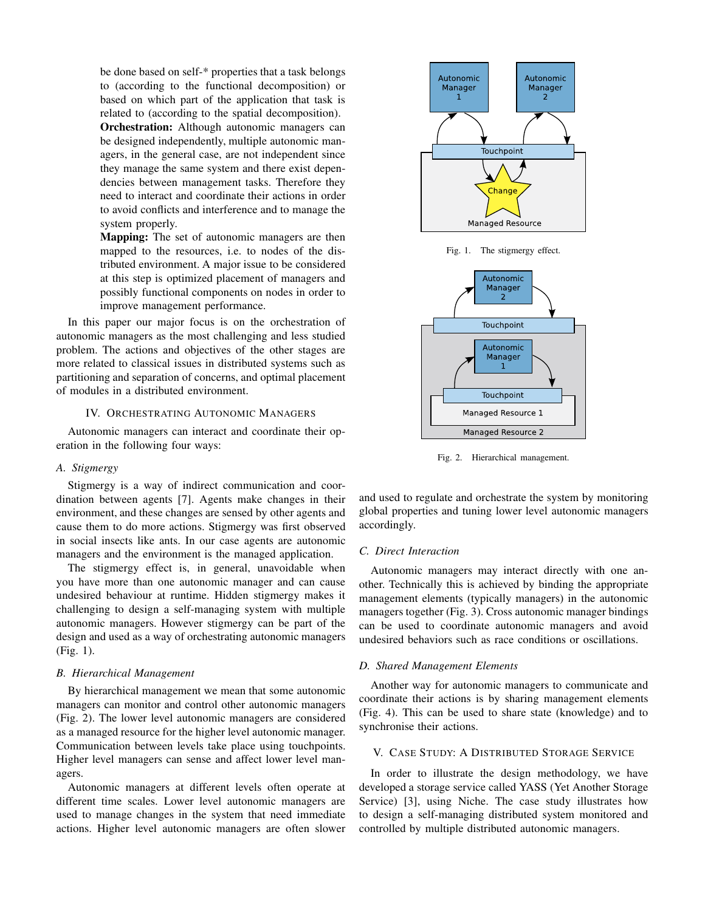be done based on self-\* properties that a task belongs to (according to the functional decomposition) or based on which part of the application that task is related to (according to the spatial decomposition). **Orchestration:** Although autonomic managers can be designed independently, multiple autonomic managers, in the general case, are not independent since they manage the same system and there exist dependencies between management tasks. Therefore they need to interact and coordinate their actions in order to avoid conflicts and interference and to manage the system properly.

**Mapping:** The set of autonomic managers are then mapped to the resources, i.e. to nodes of the distributed environment. A major issue to be considered at this step is optimized placement of managers and possibly functional components on nodes in order to improve management performance.

In this paper our major focus is on the orchestration of autonomic managers as the most challenging and less studied problem. The actions and objectives of the other stages are more related to classical issues in distributed systems such as partitioning and separation of concerns, and optimal placement of modules in a distributed environment.

# IV. ORCHESTRATING AUTONOMIC MANAGERS

Autonomic managers can interact and coordinate their operation in the following four ways:

# *A. Stigmergy*

Stigmergy is a way of indirect communication and coordination between agents [7]. Agents make changes in their environment, and these changes are sensed by other agents and cause them to do more actions. Stigmergy was first observed in social insects like ants. In our case agents are autonomic managers and the environment is the managed application.

The stigmergy effect is, in general, unavoidable when you have more than one autonomic manager and can cause undesired behaviour at runtime. Hidden stigmergy makes it challenging to design a self-managing system with multiple autonomic managers. However stigmergy can be part of the design and used as a way of orchestrating autonomic managers (Fig. 1).

#### *B. Hierarchical Management*

By hierarchical management we mean that some autonomic managers can monitor and control other autonomic managers (Fig. 2). The lower level autonomic managers are considered as a managed resource for the higher level autonomic manager. Communication between levels take place using touchpoints. Higher level managers can sense and affect lower level managers.

Autonomic managers at different levels often operate at different time scales. Lower level autonomic managers are used to manage changes in the system that need immediate actions. Higher level autonomic managers are often slower



Fig. 1. The stigmergy effect.



Fig. 2. Hierarchical management.

and used to regulate and orchestrate the system by monitoring global properties and tuning lower level autonomic managers accordingly.

#### *C. Direct Interaction*

Autonomic managers may interact directly with one another. Technically this is achieved by binding the appropriate management elements (typically managers) in the autonomic managers together (Fig. 3). Cross autonomic manager bindings can be used to coordinate autonomic managers and avoid undesired behaviors such as race conditions or oscillations.

## *D. Shared Management Elements*

Another way for autonomic managers to communicate and coordinate their actions is by sharing management elements (Fig. 4). This can be used to share state (knowledge) and to synchronise their actions.

# V. CASE STUDY: A DISTRIBUTED STORAGE SERVICE

In order to illustrate the design methodology, we have developed a storage service called YASS (Yet Another Storage Service) [3], using Niche. The case study illustrates how to design a self-managing distributed system monitored and controlled by multiple distributed autonomic managers.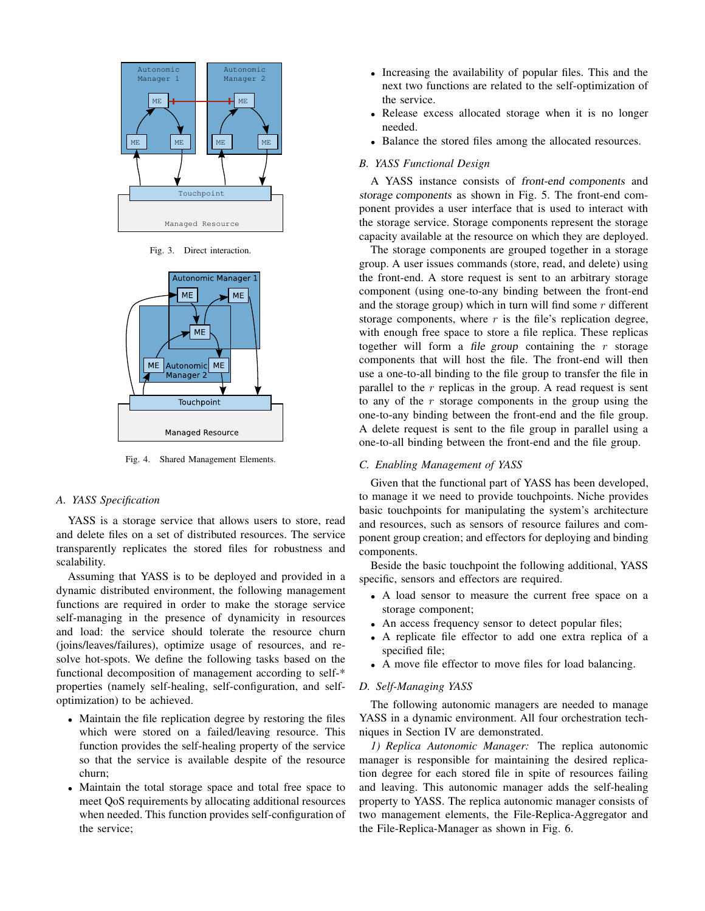

Fig. 3. Direct interaction.



Fig. 4. Shared Management Elements.

# *A. YASS Specification*

YASS is a storage service that allows users to store, read and delete files on a set of distributed resources. The service transparently replicates the stored files for robustness and scalability.

Assuming that YASS is to be deployed and provided in a dynamic distributed environment, the following management functions are required in order to make the storage service self-managing in the presence of dynamicity in resources and load: the service should tolerate the resource churn (joins/leaves/failures), optimize usage of resources, and resolve hot-spots. We define the following tasks based on the functional decomposition of management according to self-\* properties (namely self-healing, self-configuration, and selfoptimization) to be achieved.

- Maintain the file replication degree by restoring the files which were stored on a failed/leaving resource. This function provides the self-healing property of the service so that the service is available despite of the resource churn;
- Maintain the total storage space and total free space to meet QoS requirements by allocating additional resources when needed. This function provides self-configuration of the service;
- Increasing the availability of popular files. This and the next two functions are related to the self-optimization of the service.
- Release excess allocated storage when it is no longer needed.
- Balance the stored files among the allocated resources.

# *B. YASS Functional Design*

A YASS instance consists of front-end components and storage components as shown in Fig. 5. The front-end component provides a user interface that is used to interact with the storage service. Storage components represent the storage capacity available at the resource on which they are deployed.

The storage components are grouped together in a storage group. A user issues commands (store, read, and delete) using the front-end. A store request is sent to an arbitrary storage component (using one-to-any binding between the front-end and the storage group) which in turn will find some  $r$  different storage components, where  $r$  is the file's replication degree, with enough free space to store a file replica. These replicas together will form a file group containing the  $r$  storage components that will host the file. The front-end will then use a one-to-all binding to the file group to transfer the file in parallel to the  $r$  replicas in the group. A read request is sent to any of the  $r$  storage components in the group using the one-to-any binding between the front-end and the file group. A delete request is sent to the file group in parallel using a one-to-all binding between the front-end and the file group.

#### *C. Enabling Management of YASS*

Given that the functional part of YASS has been developed, to manage it we need to provide touchpoints. Niche provides basic touchpoints for manipulating the system's architecture and resources, such as sensors of resource failures and component group creation; and effectors for deploying and binding components.

Beside the basic touchpoint the following additional, YASS specific, sensors and effectors are required.

- A load sensor to measure the current free space on a storage component;
- An access frequency sensor to detect popular files;
- A replicate file effector to add one extra replica of a specified file;
- A move file effector to move files for load balancing.

#### *D. Self-Managing YASS*

The following autonomic managers are needed to manage YASS in a dynamic environment. All four orchestration techniques in Section IV are demonstrated.

*1) Replica Autonomic Manager:* The replica autonomic manager is responsible for maintaining the desired replication degree for each stored file in spite of resources failing and leaving. This autonomic manager adds the self-healing property to YASS. The replica autonomic manager consists of two management elements, the File-Replica-Aggregator and the File-Replica-Manager as shown in Fig. 6.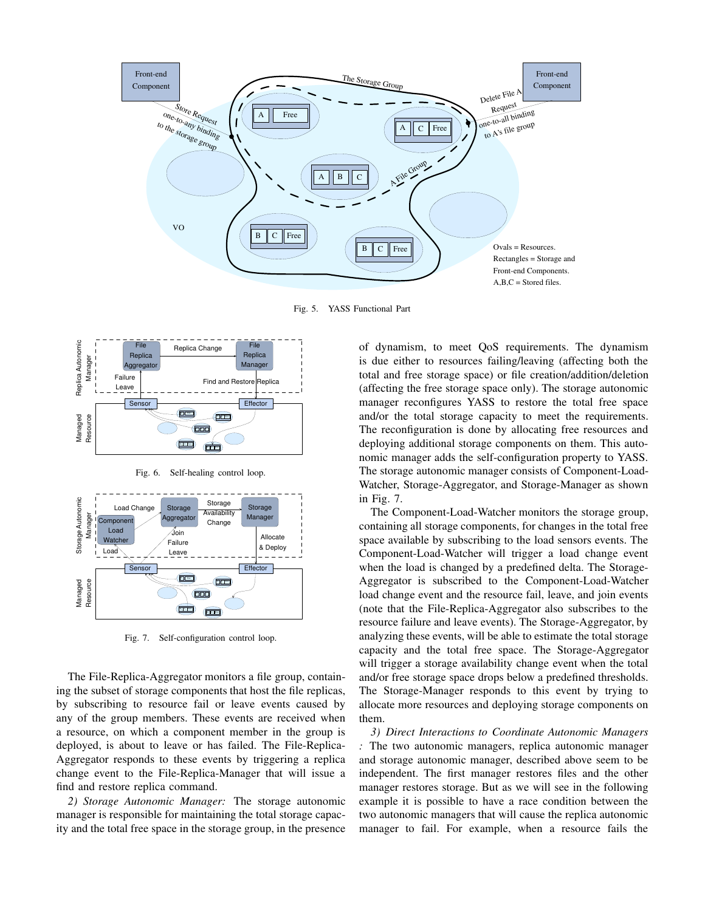

Fig. 5. YASS Functional Part



Fig. 6. Self-healing control loop.



Fig. 7. Self-configuration control loop.

The File-Replica-Aggregator monitors a file group, containing the subset of storage components that host the file replicas, by subscribing to resource fail or leave events caused by any of the group members. These events are received when a resource, on which a component member in the group is deployed, is about to leave or has failed. The File-Replica-Aggregator responds to these events by triggering a replica change event to the File-Replica-Manager that will issue a find and restore replica command.

*2) Storage Autonomic Manager:* The storage autonomic manager is responsible for maintaining the total storage capacity and the total free space in the storage group, in the presence

of dynamism, to meet QoS requirements. The dynamism is due either to resources failing/leaving (affecting both the total and free storage space) or file creation/addition/deletion (affecting the free storage space only). The storage autonomic manager reconfigures YASS to restore the total free space and/or the total storage capacity to meet the requirements. The reconfiguration is done by allocating free resources and deploying additional storage components on them. This autonomic manager adds the self-configuration property to YASS. The storage autonomic manager consists of Component-Load-Watcher, Storage-Aggregator, and Storage-Manager as shown in Fig. 7.

The Component-Load-Watcher monitors the storage group, containing all storage components, for changes in the total free space available by subscribing to the load sensors events. The Component-Load-Watcher will trigger a load change event when the load is changed by a predefined delta. The Storage-Aggregator is subscribed to the Component-Load-Watcher load change event and the resource fail, leave, and join events (note that the File-Replica-Aggregator also subscribes to the resource failure and leave events). The Storage-Aggregator, by analyzing these events, will be able to estimate the total storage capacity and the total free space. The Storage-Aggregator will trigger a storage availability change event when the total and/or free storage space drops below a predefined thresholds. The Storage-Manager responds to this event by trying to allocate more resources and deploying storage components on them.

*3) Direct Interactions to Coordinate Autonomic Managers :* The two autonomic managers, replica autonomic manager and storage autonomic manager, described above seem to be independent. The first manager restores files and the other manager restores storage. But as we will see in the following example it is possible to have a race condition between the two autonomic managers that will cause the replica autonomic manager to fail. For example, when a resource fails the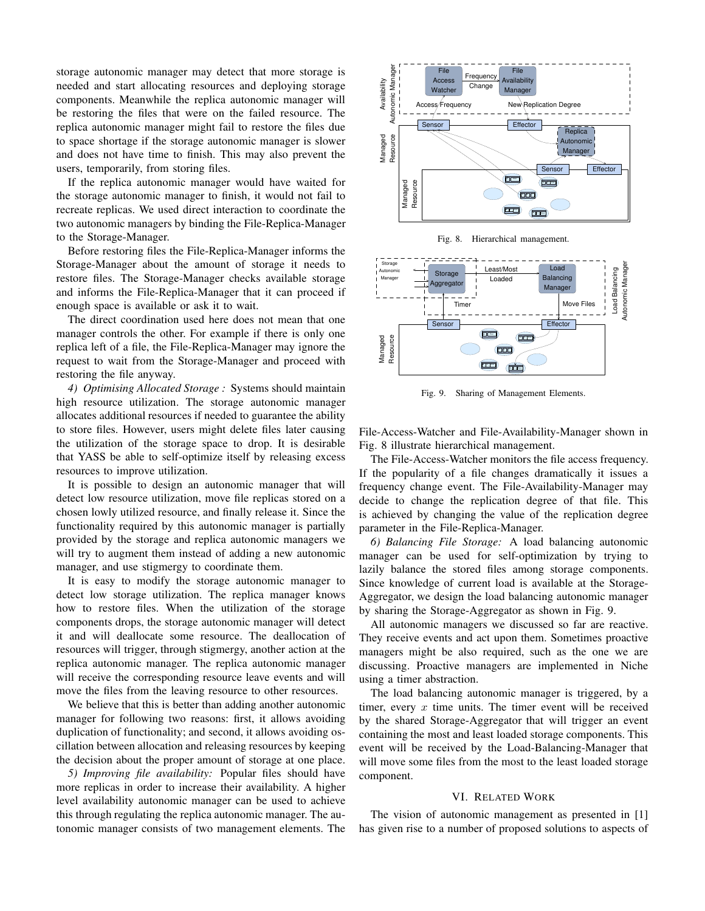storage autonomic manager may detect that more storage is needed and start allocating resources and deploying storage components. Meanwhile the replica autonomic manager will be restoring the files that were on the failed resource. The replica autonomic manager might fail to restore the files due to space shortage if the storage autonomic manager is slower and does not have time to finish. This may also prevent the users, temporarily, from storing files.

If the replica autonomic manager would have waited for the storage autonomic manager to finish, it would not fail to recreate replicas. We used direct interaction to coordinate the two autonomic managers by binding the File-Replica-Manager to the Storage-Manager.

Before restoring files the File-Replica-Manager informs the Storage-Manager about the amount of storage it needs to restore files. The Storage-Manager checks available storage and informs the File-Replica-Manager that it can proceed if enough space is available or ask it to wait.

The direct coordination used here does not mean that one manager controls the other. For example if there is only one replica left of a file, the File-Replica-Manager may ignore the request to wait from the Storage-Manager and proceed with restoring the file anyway.

*4) Optimising Allocated Storage :* Systems should maintain high resource utilization. The storage autonomic manager allocates additional resources if needed to guarantee the ability to store files. However, users might delete files later causing the utilization of the storage space to drop. It is desirable that YASS be able to self-optimize itself by releasing excess resources to improve utilization.

It is possible to design an autonomic manager that will detect low resource utilization, move file replicas stored on a chosen lowly utilized resource, and finally release it. Since the functionality required by this autonomic manager is partially provided by the storage and replica autonomic managers we will try to augment them instead of adding a new autonomic manager, and use stigmergy to coordinate them.

It is easy to modify the storage autonomic manager to detect low storage utilization. The replica manager knows how to restore files. When the utilization of the storage components drops, the storage autonomic manager will detect it and will deallocate some resource. The deallocation of resources will trigger, through stigmergy, another action at the replica autonomic manager. The replica autonomic manager will receive the corresponding resource leave events and will move the files from the leaving resource to other resources.

We believe that this is better than adding another autonomic manager for following two reasons: first, it allows avoiding duplication of functionality; and second, it allows avoiding oscillation between allocation and releasing resources by keeping the decision about the proper amount of storage at one place.

*5) Improving file availability:* Popular files should have more replicas in order to increase their availability. A higher level availability autonomic manager can be used to achieve this through regulating the replica autonomic manager. The autonomic manager consists of two management elements. The



Fig. 8. Hierarchical management.



Fig. 9. Sharing of Management Elements.

File-Access-Watcher and File-Availability-Manager shown in Fig. 8 illustrate hierarchical management.

The File-Access-Watcher monitors the file access frequency. If the popularity of a file changes dramatically it issues a frequency change event. The File-Availability-Manager may decide to change the replication degree of that file. This is achieved by changing the value of the replication degree parameter in the File-Replica-Manager.

*6) Balancing File Storage:* A load balancing autonomic manager can be used for self-optimization by trying to lazily balance the stored files among storage components. Since knowledge of current load is available at the Storage-Aggregator, we design the load balancing autonomic manager by sharing the Storage-Aggregator as shown in Fig. 9.

All autonomic managers we discussed so far are reactive. They receive events and act upon them. Sometimes proactive managers might be also required, such as the one we are discussing. Proactive managers are implemented in Niche using a timer abstraction.

The load balancing autonomic manager is triggered, by a timer, every  $x$  time units. The timer event will be received by the shared Storage-Aggregator that will trigger an event containing the most and least loaded storage components. This event will be received by the Load-Balancing-Manager that will move some files from the most to the least loaded storage component.

### VI. RELATED WORK

The vision of autonomic management as presented in [1] has given rise to a number of proposed solutions to aspects of